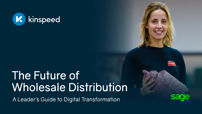

# The Future of Wholesale Distribution

A Leader's Guide to Digital Transformation

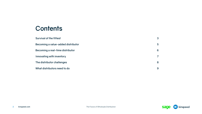### **Contents**

**Survival of the fittest 3** 

**Becoming a value-added distributor 5**

**Becoming a real-time distributor 6**

**Innovating with inventory 7**

**The distributor challenges 8**

**What distributors need to do 9**

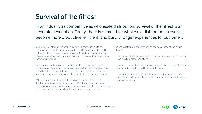# **Survival of the fittest**

In an industry as competitive as wholesale distribution, survival of the fittest is an accurate description. Today, there is demand for wholesale distributors to evolve, become more productive, efficient, and build stronger experiences for customers.

Distribution has always been about building and maintaining customer relationships, but digital disruption has changed the landscape. The reality is the market for wholesale distribution is fundamentally transforming, and there's a need to maximise supply chain performance and deliver an elevated customer experience.

Today, empowered customers have an ability to purchase goods across channels, and they demand personalised and customised products, pricing flexibility, with tolerance of delay. The omnichannel model means that the power now rests with buyers as switching distributors is now much simpler.

With challenges from the new data economy, traditional channels of distribution may have been made obsolete. Distributors today face more challenging and complex fulfilment requirements, such as the need to manage their traditional B2B business together with an eCommerce website.

Wholesale distributors are beset with an additional range of challenges, including:

• The increasing cost of rising supply chain management and the growing

• Increased expectations from customers expecting high levels of efficiency

- complexity of global operations.
- and speed, but with a need to keep profits high.
- customers directly.

• Competition from businesses that are aggressively expanding their operations, or disintermediation, where manufacturers decide to supply

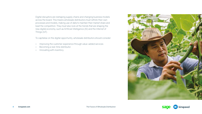Digital disruptors are reshaping supply chains and changing business models across the board. This means wholesale distributors must rethink their own processes and models, making use of data to maintain their market share and beat the competition. They must also look at the trends that are shaping the new digital economy, such as Artificial Intelligence (AI) and the Internet of Things (IoT).

To capitalise on the digital opportunity, wholesale distributors should consider:

- Improving the customer experience through value-added services
- Becoming a real-time distributor.
- Innovating with inventory.



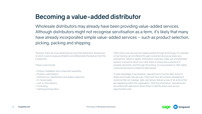

# **Becoming a value-added distributor**

Wholesale distributors may already have been providing value-added services. Although distributors might not recognise servitisation as a term, it's likely that many have already incorporated simple value-added services – such as product selection, picking, packing and shipping.

However, there are more advanced services that distributors should look at which could increase profitability and differentiate themselves from the competition.

These could include:

- Product installation and component assembly.
- Product customisation.
- Field service, maintenance and quality inspection.
- In-house repair.
- Just-in-time delivery.
- Consulting.
- Training and education.

Often these new services are made possible through technology. For example, virtual training can be offered through connected devices as basic as a smartphone, tablet or laptop. Distributors could also make use of embedded sensors in products which can notify them of issues and customers of possible downtime. And through 3D printing, it's now possible to offer tightly customised products created at rapid speed.

To take advantage of servitisation, manufacturers must be data-driven to define and create new services. They must look at business management solutions that can manage, date, and deliver data as a view of all actions that are happening within the organisation. With this information, manufacturers are armed with data which allows them to identify where new service opportunities exist.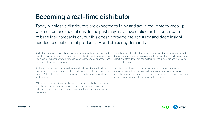# **Becoming a real-time distributor**

Today, wholesale distributors are expected to think and act in real-time to keep up with customer expectations. In the past they may have replied on historical data to base their forecasts on, but this doesn't provide the accuracy and deep insight needed to meet current productivity and efficiency demands.

Digital transformation makes it possible for greater operational flexibility and insight into customer need. Distributors can be online 24/7, offering customers a self-service experience where they can place orders, update quantities, and schedule at their own convenience.

With easy-to-use data, in conjunction with analytical capabilities, distributors could better plan and forecast demand (improving customer service and reducing costs) as well as inform changes in workflows, such as combining shipments.

Real-time analytics could be crucial for a wholesale distributor with a lot of moving parts, as it's an essential tool to handle logistics in this all-hours agile manner. Automated alerts could inform actions based on changes in demand or other factors.

In addition, the Internet of Things (IoT) allows distributors to use connected devices, products, and tools equipped with sensors that can talk to each other, collect, and store data. They can partner with manufacturers and retailers to access data in real time.

To make the best use of data to drive informed and timely decisions, wholesale distributors must replace legacy siloed systems which could prevent information and insight from being used across the business. A robust business management solution could be the solution.

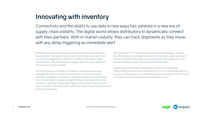Connectivity and the ability to use data in new ways has ushered in a new era of supply chain visibility. The digital world allows distributors to dynamically connect with their partners. With in-transit visibility, they can track shipments as they move, with any delay triggering an immediate alert.

# **Innovating with inventory**

Distributors can also use analytics to interrogate historic sale patterns to help plan when they need to build up inventory or scale down and run on less inventory, depending on demand. This allows businesses to make commitments or allocations based on supply, since they know where and when inventory will be available.

With advances in IoT, information such as inventory temperature, weather, and GPS location could answer questions such as where exactly a product or material is located, which areas are causing delays in the supply chain, and whether certain processes are working better than others.

IoT technologies and the ability to integrate in real time with business management solutions transforms how inventory can be tracked and managed, and allows for automation. Business management solutions can track items in real time, usually through RFID tags or barcodes that can be scanned or identified. This provides visibility into information like inventory levels, expiration dates and location, which can support demand planning and forecast management.

Technology can also support distributors in reducing costs through transformative processes such as 3D printing. This could allow distributors to carry an unlimited number of customisable products, whether printed in-house or through a 3D printer provided to the customer or buyer.

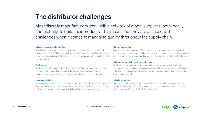# **The distributor challenges**

Most discrete manufacturers work with a network of global suppliers, both locally and globally, to build their products. This means that they are all faced with challenges when it comes to managing quality throughout the supply chain.

### **A lack of executive understanding**

Digital transformation requires a top-down approach – leadership that has created a framework for success. This needs commitment and an understanding of how technology can improve the business. Distributors must seek out training or new technical blood to fill the knowledge gap.

### **Existing silos**

Distributors are often separated into departments with their own respective objectives. In today's world though, this is a dynamic that causes problems. Business digital transformation requires collaboration between departments that can't happen in silos.

### **Legacy applications**

Distributors may be dependent on legacy technology for their day-to-day business. What they should aim for is to build new digital transformational systems in parallel with these legacy systems, taking advantage of historic data that could be extremely valuable going forward.

#### **Data without context**

Data without context is just noise. Distributors can generate huge amounts of data and if employees are bogged down in it without context, it all becomes meaningless. There needs to be concerted efforts in making sure there are trained people using and interpreting the data.

### **A lack of ownership for customer outcomes**

Distributor leaders must have a vision and strategic plan in place, where results are achievable and continuous improvement is possible. Without this, you create a circle of pain – the leadership doesn't take ownership, there is no forward progress and the rest of the business isn't inspired.

### **Misaligned metrics**

Successful digital transformation requires alignment on key metrics such as customer satisfaction and value delivery. There needs to be measurement where every part of the business can see it's role reflected in the value chain.

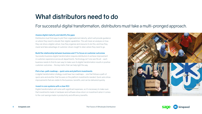# **What distributors need to do**

### For successful digital transformation, distributors must take a multi-pronged approach.

### **Assess digital maturity and identify the gaps**

Distributors must find ways to plot their organisational maturity, which will provide guidance on where they need to elevate their digital capabilities. This will mean an analysis on how they can drive a digital culture, how they organise and resource to do this, and how they invest and take advantage of customer-driven insight to steer where they need to go.

### **Build the relationship between business and IT to focus on customer outcomes**

Successful business digital transformation requires distributors to achieve improvement in customer experience across all departments. Technology isn't one size fits all – each business needs to find its own way to make sure its digital transformation results in positive customer outcomes – the key metric that can help light the way.

### **Plot a two-path roadmap – quick wins and platform investments**

A digital transformation strategy could have two roadmaps – one that follows a path of quick wins and another that focuses on the platform investments needed. Quick wins show improvements that are visible to the business, benefits, and can be delivered quickly.

### **Invest in core systems with a clear ROI**

Digital transformation will come with significant expenses, so it's necessary to make sure that investments made in hardware and software show return on investment when it comes to the cost savings made in productivity and efficiency benefits.